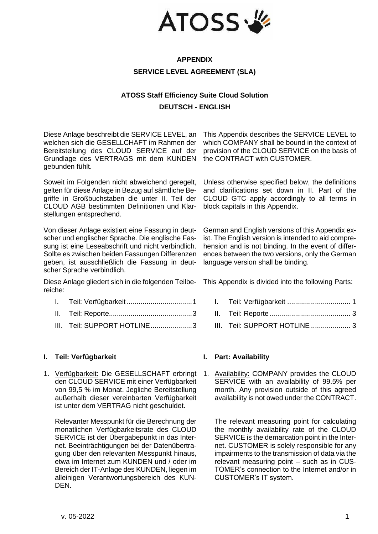

# **APPENDIX SERVICE LEVEL AGREEMENT (SLA)**

# **ATOSS Staff Efficiency Suite Cloud Solution DEUTSCH - ENGLISH**

Diese Anlage beschreibt die SERVICE LEVEL, an welchen sich die GESELLCHAFT im Rahmen der Bereitstellung des CLOUD SERVICE auf der Grundlage des VERTRAGS mit dem KUNDEN gebunden fühlt.

Soweit im Folgenden nicht abweichend geregelt, gelten für diese Anlage in Bezug auf sämtliche Begriffe in Großbuchstaben die unter II. Teil der CLOUD AGB bestimmten Definitionen und Klarstellungen entsprechend.

Von dieser Anlage existiert eine Fassung in deutscher und englischer Sprache. Die englische Fassung ist eine Leseabschrift und nicht verbindlich. Sollte es zwischen beiden Fassungen Differenzen geben, ist ausschließlich die Fassung in deutscher Sprache verbindlich.

Diese Anlage gliedert sich in die folgenden Teilbereiche:

- I. Teil: Verfügbarkeit [.................................1](#page-0-0)
- II. [Teil: Reporte..........................................3](#page-2-0)
- III. [Teil: SUPPORT HOTLINE.....................3](#page-2-1)

## <span id="page-0-0"></span>**I. Teil: Verfügbarkeit I. Part: Availability**

1. Verfügbarkeit: Die GESELLSCHAFT erbringt den CLOUD SERVICE mit einer Verfügbarkeit von 99,5 % im Monat. Jegliche Bereitstellung außerhalb dieser vereinbarten Verfügbarkeit ist unter dem VERTRAG nicht geschuldet.

Relevanter Messpunkt für die Berechnung der monatlichen Verfügbarkeitsrate des CLOUD SERVICE ist der Übergabepunkt in das Internet. Beeinträchtigungen bei der Datenübertragung über den relevanten Messpunkt hinaus, etwa im Internet zum KUNDEN und / oder im Bereich der IT-Anlage des KUNDEN, liegen im alleinigen Verantwortungsbereich des KUN-DEN.

This Appendix describes the SERVICE LEVEL to which COMPANY shall be bound in the context of provision of the CLOUD SERVICE on the basis of the CONTRACT with CUSTOMER.

Unless otherwise specified below, the definitions and clarifications set down in II. Part of the CLOUD GTC apply accordingly to all terms in block capitals in this Appendix.

German and English versions of this Appendix exist. The English version is intended to aid comprehension and is not binding. In the event of differences between the two versions, only the German language version shall be binding.

This Appendix is divided into the following Parts:

- I. Teil: Verfügbarkeit [................................](#page-0-0) 1
- II. [Teil: Reporte.........................................](#page-2-0) 3
- III. [Teil: SUPPORT HOTLINE](#page-2-1) ..................... 3

1. Availability: COMPANY provides the CLOUD SERVICE with an availability of 99.5% per month. Any provision outside of this agreed availability is not owed under the CONTRACT.

The relevant measuring point for calculating the monthly availability rate of the CLOUD SERVICE is the demarcation point in the Internet. CUSTOMER is solely responsible for any impairments to the transmission of data via the relevant measuring point – such as in CUS-TOMER's connection to the Internet and/or in CUSTOMER's IT system.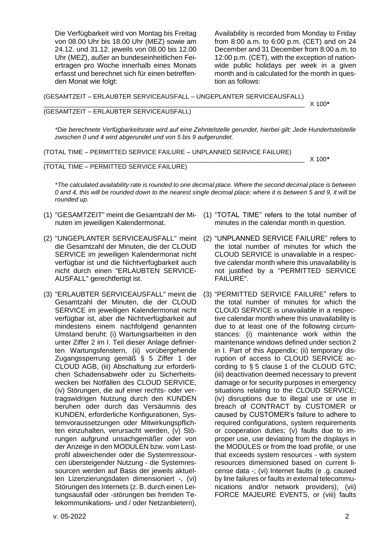Die Verfügbarkeit wird von Montag bis Freitag von 08.00 Uhr bis 18.00 Uhr (MEZ) sowie am 24.12. und 31.12. jeweils von 08.00 bis 12.00 Uhr (MEZ), außer an bundeseinheitlichen Feiertragen pro Woche innerhalb eines Monats erfasst und berechnet sich für einen betreffenden Monat wie folgt:

Availability is recorded from Monday to Friday from 8:00 a.m. to 6:00 p.m. (CET) and on 24 December and 31 December from 8:00 a.m. to 12:00 p.m. (CET), with the exception of nationwide public holidays per week in a given month and is calculated for the month in question as follows:

(GESAMTZEIT – ERLAUBTER SERVICEAUSFALL – UNGEPLANTER SERVICEAUSFALL) \_\_\_\_\_\_\_\_\_\_\_\_\_\_\_\_\_\_\_\_\_\_\_\_\_\_\_\_\_\_\_\_\_\_\_\_\_\_\_\_\_\_\_\_\_\_\_\_\_\_\_\_\_\_\_\_\_\_\_\_\_\_\_\_\_\_\_\_\_\_\_\_\_\_ X 100*\**

### (GESAMTZEIT – ERLAUBTER SERVICEAUSFALL)

*\*Die berechnete Verfügbarkeitsrate wird auf eine Zehntelstelle gerundet, hierbei gilt: Jede Hundertstelstelle zwischen 0 und 4 wird abgerundet und von 5 bis 9 aufgerundet.*

(TOTAL TIME – PERMITTED SERVICE FAILURE – UNPLANNED SERVICE FAILURE)

\_\_\_\_\_\_\_\_\_\_\_\_\_\_\_\_\_\_\_\_\_\_\_\_\_\_\_\_\_\_\_\_\_\_\_\_\_\_\_\_\_\_\_\_\_\_\_\_\_\_\_\_\_\_\_\_\_\_\_\_\_\_\_\_\_\_\_\_\_\_\_\_\_\_ X 100*\**

## (TOTAL TIME – PERMITTED SERVICE FAILURE)

*\*The calculated availability rate is rounded to one decimal place. Where the second decimal place is between 0 and 4, this will be rounded down to the nearest single decimal place; where it is between 5 and 9, it will be rounded up.*

- (1) "GESAMTZEIT" meint die Gesamtzahl der Minuten im jeweiligen Kalendermonat.
- (2) "UNGEPLANTER SERVICEAUSFALL" meint die Gesamtzahl der Minuten, die der CLOUD SERVICE im jeweiligen Kalendermonat nicht verfügbar ist und die Nichtverfügbarkeit auch nicht durch einen "ERLAUBTEN SERVICE-AUSFALL" gerechtfertigt ist.
- (3) "ERLAUBTER SERVICEAUSFALL" meint die Gesamtzahl der Minuten, die der CLOUD SERVICE im jeweiligen Kalendermonat nicht verfügbar ist, aber die Nichtverfügbarkeit auf mindestens einem nachfolgend genannten Umstand beruht: (i) Wartungsarbeiten in den unter Ziffer 2 im I. Teil dieser Anlage definierten Wartungsfenstern, (ii) vorübergehende Zugangssperrung gemäß § 5 Ziffer 1 der CLOUD AGB, (iii) Abschaltung zur erforderlichen Schadensabwehr oder zu Sicherheitswecken bei Notfällen des CLOUD SERVICE, (iv) Störungen, die auf einer rechts- oder vertragswidrigen Nutzung durch den KUNDEN beruhen oder durch das Versäumnis des KUNDEN, erforderliche Konfigurationen, Systemvoraussetzungen oder Mitwirkungspflichten einzuhalten, verursacht werden, (v) Störungen aufgrund unsachgemäßer oder von der Anzeige in den MODULEN bzw. vom Lastprofil abweichender oder die Systemressourcen übersteigender Nutzung - die Systemressourcen werden auf Basis der jeweils aktuellen Lizenzierungsdaten dimensioniert -, (vi) Störungen des Internets (z. B. durch einen Leitungsausfall oder -störungen bei fremden Telekommunikations- und / oder Netzanbietern),
- (1) "TOTAL TIME" refers to the total number of minutes in the calendar month in question.
- (2) "UNPLANNED SERVICE FAILURE" refers to the total number of minutes for which the CLOUD SERVICE is unavailable in a respective calendar month where this unavailability is not justified by a "PERMITTED SERVICE FAILURE".
- (3) "PERMITTED SERVICE FAILURE" refers to the total number of minutes for which the CLOUD SERVICE is unavailable in a respective calendar month where this unavailability is due to at least one of the following circumstances: (i) maintenance work within the maintenance windows defined under section 2 in I. Part of this Appendix; (ii) temporary disruption of access to CLOUD SERVICE according to § 5 clause 1 of the CLOUD GTC; (iii) deactivation deemed necessary to prevent damage or for security purposes in emergency situations relating to the CLOUD SERVICE; (iv) disruptions due to illegal use or use in breach of CONTRACT by CUSTOMER or caused by CUSTOMER's failure to adhere to required configurations, system requirements or cooperation duties; (v) faults due to improper use, use deviating from the displays in the MODULES or from the load profile, or use that exceeds system resources - with system resources dimensioned based on current license data -; (vi) Internet faults (e .g. caused by line failures or faults in external telecommunications and/or network providers); (vii) FORCE MAJEURE EVENTS, or (viii) faults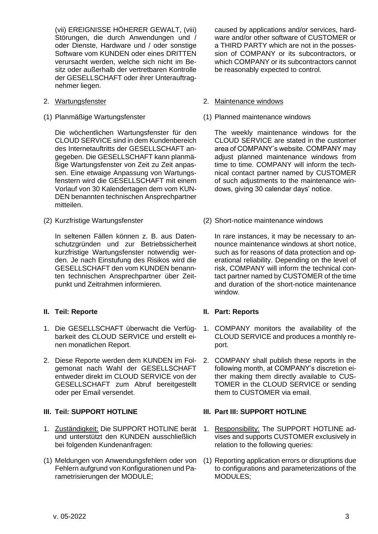(vii) EREIGNISSE HÖHERER GEWALT, (viii) Störungen, die durch Anwendungen und / oder Dienste, Hardware und / oder sonstige Software vom KUNDEN oder eines DRITTEN verursacht werden, welche sich nicht im Besitz oder außerhalb der vertretbaren Kontrolle der GESELLSCHAFT oder ihrer Unterauftragnehmer liegen.

- 
- 

Die wöchentlichen Wartungsfenster für den CLOUD SERVICE sind in dem Kundenbereich des Internetauftritts der GESELLSCHAFT angegeben. Die GESELLSCHAFT kann planmäßige Wartungsfenster von Zeit zu Zeit anpassen. Eine etwaige Anpassung von Wartungsfenstern wird die GESELLSCHAFT mit einem Vorlauf von 30 Kalendertagen dem vom KUN-DEN benannten technischen Ansprechpartner mitteilen.

In seltenen Fällen können z. B. aus Datenschutzgründen und zur Betriebssicherheit kurzfristige Wartungsfenster notwendig werden. Je nach Einstufung des Risikos wird die GESELLSCHAFT den vom KUNDEN benannten technischen Ansprechpartner über Zeitpunkt und Zeitrahmen informieren.

- 1. Die GESELLSCHAFT überwacht die Verfügbarkeit des CLOUD SERVICE und erstellt einen monatlichen Report.
- 2. Diese Reporte werden dem KUNDEN im Folgemonat nach Wahl der GESELLSCHAFT entweder direkt im CLOUD SERVICE von der GESELLSCHAFT zum Abruf bereitgestellt oder per Email versendet.

- 1. Zuständigkeit: Die SUPPORT HOTLINE berät und unterstützt den KUNDEN ausschließlich bei folgenden Kundenanfragen:
- (1) Meldungen von Anwendungsfehlern oder von Fehlern aufgrund von Konfigurationen und Parametrisierungen der MODULE;

caused by applications and/or services, hardware and/or other software of CUSTOMER or a THIRD PARTY which are not in the possession of COMPANY or its subcontractors, or which COMPANY or its subcontractors cannot be reasonably expected to control.

### 2. Wartungsfenster 2. Maintenance windows

(1) Planmäßige Wartungsfenster (1) Planned maintenance windows

The weekly maintenance windows for the CLOUD SERVICE are stated in the customer area of COMPANY's website. COMPANY may adjust planned maintenance windows from time to time. COMPANY will inform the technical contact partner named by CUSTOMER of such adjustments to the maintenance windows, giving 30 calendar days' notice.

(2) Kurzfristige Wartungsfenster (2) Short-notice maintenance windows

In rare instances, it may be necessary to announce maintenance windows at short notice, such as for reasons of data protection and operational reliability. Depending on the level of risk, COMPANY will inform the technical contact partner named by CUSTOMER of the time and duration of the short-notice maintenance window.

## <span id="page-2-0"></span>**II. Teil: Reporte II. Part: Reports**

- 1. COMPANY monitors the availability of the CLOUD SERVICE and produces a monthly report.
- 2. COMPANY shall publish these reports in the following month, at COMPANY's discretion either making them directly available to CUS-TOMER in the CLOUD SERVICE or sending them to CUSTOMER via email.

## <span id="page-2-1"></span>**III. Teil: SUPPORT HOTLINE III. Part III: SUPPORT HOTLINE**

- 1. Responsibility: The SUPPORT HOTLINE advises and supports CUSTOMER exclusively in relation to the following queries:
- (1) Reporting application errors or disruptions due to configurations and parameterizations of the MODULES;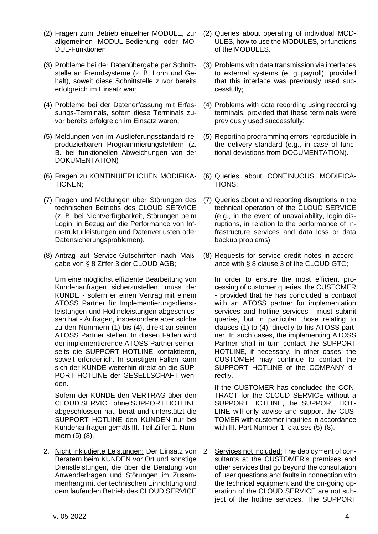- (2) Fragen zum Betrieb einzelner MODULE, zur allgemeinen MODUL-Bedienung oder MO-DUL-Funktionen;
- (3) Probleme bei der Datenübergabe per Schnittstelle an Fremdsysteme (z. B. Lohn und Gehalt), soweit diese Schnittstelle zuvor bereits erfolgreich im Einsatz war;
- (4) Probleme bei der Datenerfassung mit Erfassungs-Terminals, sofern diese Terminals zuvor bereits erfolgreich im Einsatz waren;
- (5) Meldungen von im Auslieferungsstandard reproduzierbaren Programmierungsfehlern (z. B. bei funktionellen Abweichungen von der DOKUMENTATION)
- (6) Fragen zu KONTINUIERLICHEN MODIFIKA-TIONEN;
- (7) Fragen und Meldungen über Störungen des technischen Betriebs des CLOUD SERVICE (z. B. bei Nichtverfügbarkeit, Störungen beim Login, in Bezug auf die Performance von Infrastrukturleistungen und Datenverlusten oder Datensicherungsproblemen).
- (8) Antrag auf Service-Gutschriften nach Maßgabe von § 8 Ziffer 3 der CLOUD AGB;

Um eine möglichst effiziente Bearbeitung von Kundenanfragen sicherzustellen, muss der KUNDE - sofern er einen Vertrag mit einem ATOSS Partner für Implementierungsdienstleistungen und Hotlineleistungen abgeschlossen hat - Anfragen, insbesondere aber solche zu den Nummern (1) bis (4), direkt an seinen ATOSS Partner stellen. In diesen Fällen wird der implementierende ATOSS Partner seinerseits die SUPPORT HOTLINE kontaktieren, soweit erforderlich. In sonstigen Fällen kann sich der KUNDE weiterhin direkt an die SUP-PORT HOTLINE der GESELLSCHAFT wenden.

Sofern der KUNDE den VERTRAG über den CLOUD SERVICE ohne SUPPORT HOTLINE abgeschlossen hat, berät und unterstützt die SUPPORT HOTLINE den KUNDEN nur bei Kundenanfragen gemäß III. Teil Ziffer 1. Nummern (5)-(8).

2. Nicht inkludierte Leistungen: Der Einsatz von Beratern beim KUNDEN vor Ort und sonstige Dienstleistungen, die über die Beratung von Anwenderfragen und Störungen im Zusammenhang mit der technischen Einrichtung und dem laufenden Betrieb des CLOUD SERVICE

- (2) Queries about operating of individual MOD-ULES, how to use the MODULES, or functions of the MODULES.
- (3) Problems with data transmission via interfaces to external systems (e. g. payroll), provided that this interface was previously used successfully;
- (4) Problems with data recording using recording terminals, provided that these terminals were previously used successfully;
- (5) Reporting programming errors reproducible in the delivery standard (e.g., in case of functional deviations from DOCUMENTATION).
- (6) Queries about CONTINUOUS MODIFICA-TIONS;
- (7) Queries about and reporting disruptions in the technical operation of the CLOUD SERVICE (e.g., in the event of unavailability, login disruptions, in relation to the performance of infrastructure services and data loss or data backup problems).
- (8) Requests for service credit notes in accordance with § 8 clause 3 of the CLOUD GTC;

In order to ensure the most efficient processing of customer queries, the CUSTOMER - provided that he has concluded a contract with an ATOSS partner for implementation services and hotline services - must submit queries, but in particular those relating to clauses (1) to (4), directly to his ATOSS partner. In such cases, the implementing ATOSS Partner shall in turn contact the SUPPORT HOTLINE, if necessary. In other cases, the CUSTOMER may continue to contact the SUPPORT HOTLINE of the COMPANY directly.

If the CUSTOMER has concluded the CON-TRACT for the CLOUD SERVICE without a SUPPORT HOTLINE, the SUPPORT HOT-LINE will only advise and support the CUS-TOMER with customer inquiries in accordance with III. Part Number 1. clauses (5)-(8).

2. Services not included: The deployment of consultants at the CUSTOMER's premises and other services that go beyond the consultation of user questions and faults in connection with the technical equipment and the on-going operation of the CLOUD SERVICE are not subject of the hotline services. The SUPPORT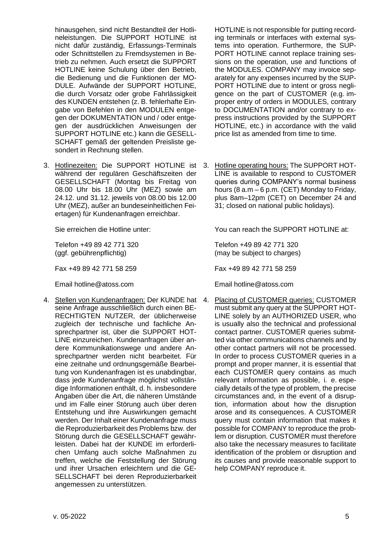hinausgehen, sind nicht Bestandteil der Hotlineleistungen. Die SUPPORT HOTLINE ist nicht dafür zuständig, Erfassungs-Terminals oder Schnittstellen zu Fremdsystemen in Betrieb zu nehmen. Auch ersetzt die SUPPORT HOTLINE keine Schulung über den Betrieb, die Bedienung und die Funktionen der MO-DULE. Aufwände der SUPPORT HOTLINE, die durch Vorsatz oder grobe Fahrlässigkeit des KUNDEN entstehen (z. B. fehlerhafte Eingabe von Befehlen in den MODULEN entgegen der DOKUMENTATION und / oder entgegen der ausdrücklichen Anweisungen der SUPPORT HOTLINE etc.) kann die GESELL-SCHAFT gemäß der geltenden Preisliste gesondert in Rechnung stellen.

3. Hotlinezeiten: Die SUPPORT HOTLINE ist während der regulären Geschäftszeiten der GESELLSCHAFT (Montag bis Freitag von 08.00 Uhr bis 18.00 Uhr (MEZ) sowie am 24.12. und 31.12. jeweils von 08.00 bis 12.00 Uhr (MEZ), außer an bundeseinheitlichen Feiertagen) für Kundenanfragen erreichbar.

Telefon +49 89 42 771 320 (ggf. gebührenpflichtig)

Fax +49 89 42 771 58 259 Fax +49 89 42 771 58 259

4. Stellen von Kundenanfragen: Der KUNDE hat seine Anfrage ausschließlich durch einen BE-RECHTIGTEN NUTZER, der üblicherweise zugleich der technische und fachliche Ansprechpartner ist, über die SUPPORT HOT-LINE einzureichen. Kundenanfragen über andere Kommunikationswege und andere Ansprechpartner werden nicht bearbeitet. Für eine zeitnahe und ordnungsgemäße Bearbeitung von Kundenanfragen ist es unabdingbar, dass jede Kundenanfrage möglichst vollständige Informationen enthält, d. h. insbesondere Angaben über die Art, die näheren Umstände und im Falle einer Störung auch über deren Entstehung und ihre Auswirkungen gemacht werden. Der Inhalt einer Kundenanfrage muss die Reproduzierbarkeit des Problems bzw. der Störung durch die GESELLSCHAFT gewährleisten. Dabei hat der KUNDE im erforderlichen Umfang auch solche Maßnahmen zu treffen, welche die Feststellung der Störung und ihrer Ursachen erleichtern und die GE-SELLSCHAFT bei deren Reproduzierbarkeit angemessen zu unterstützen.

HOTLINE is not responsible for putting recording terminals or interfaces with external systems into operation. Furthermore, the SUP-PORT HOTLINE cannot replace training sessions on the operation, use and functions of the MODULES. COMPANY may invoice separately for any expenses incurred by the SUP-PORT HOTLINE due to intent or gross negligence on the part of CUSTOMER (e.g. improper entry of orders in MODULES, contrary to DOCUMENTATION and/or contrary to express instructions provided by the SUPPORT HOTLINE, etc.) in accordance with the valid price list as amended from time to time.

3. Hotline operating hours: The SUPPORT HOT-LINE is available to respond to CUSTOMER queries during COMPANY's normal business hours (8 a.m – 6 p.m. (CET) Monday to Friday, plus 8am–12pm (CET) on December 24 and 31; closed on national public holidays).

Sie erreichen die Hotline unter: You can reach the SUPPORT HOTLINE at:

Telefon +49 89 42 771 320 (may be subject to charges)

Email hotline@atoss.com Email hotline@atoss.com

4. Placing of CUSTOMER queries: CUSTOMER must submit any query at the SUPPORT HOT-LINE solely by an AUTHORIZED USER, who is usually also the technical and professional contact partner. CUSTOMER queries submitted via other communications channels and by other contact partners will not be processed. In order to process CUSTOMER queries in a prompt and proper manner, it is essential that each CUSTOMER query contains as much relevant information as possible, i. e. especially details of the type of problem, the precise circumstances and, in the event of a disruption, information about how the disruption arose and its consequences. A CUSTOMER query must contain information that makes it possible for COMPANY to reproduce the problem or disruption. CUSTOMER must therefore also take the necessary measures to facilitate identification of the problem or disruption and its causes and provide reasonable support to help COMPANY reproduce it.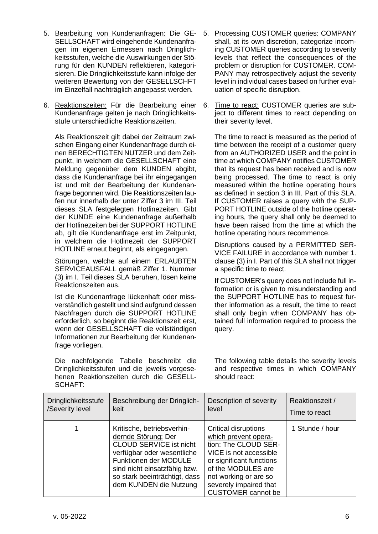- 5. Bearbeitung von Kundenanfragen: Die GE-SELLSCHAFT wird eingehende Kundenanfragen im eigenen Ermessen nach Dringlichkeitsstufen, welche die Auswirkungen der Störung für den KUNDEN reflektieren, kategorisieren. Die Dringlichkeitsstufe kann infolge der weiteren Bewertung von der GESELLSCHFT im Einzelfall nachträglich angepasst werden.
- 6. Reaktionszeiten: Für die Bearbeitung einer Kundenanfrage gelten je nach Dringlichkeitsstufe unterschiedliche Reaktionszeiten.

Als Reaktionszeit gilt dabei der Zeitraum zwischen Eingang einer Kundenanfrage durch einen BERECHTIGTEN NUTZER und dem Zeitpunkt, in welchem die GESELLSCHAFT eine Meldung gegenüber dem KUNDEN abgibt, dass die Kundenanfrage bei ihr eingegangen ist und mit der Bearbeitung der Kundenanfrage begonnen wird. Die Reaktionszeiten laufen nur innerhalb der unter Ziffer 3 im III. Teil dieses SLA festgelegten Hotlinezeiten. Gibt der KUNDE eine Kundenanfrage außerhalb der Hotlinezeiten bei der SUPPORT HOTLINE ab, gilt die Kundenanfrage erst im Zeitpunkt, in welchem die Hotlinezeit der SUPPORT HOTLINE erneut beginnt, als eingegangen.

Störungen, welche auf einem ERLAUBTEN SERVICEAUSFALL gemäß Ziffer 1. Nummer (3) im I. Teil dieses SLA beruhen, lösen keine Reaktionszeiten aus.

Ist die Kundenanfrage lückenhaft oder missverständlich gestellt und sind aufgrund dessen Nachfragen durch die SUPPORT HOTLINE erforderlich, so beginnt die Reaktionszeit erst, wenn der GESELLSCHAFT die vollständigen Informationen zur Bearbeitung der Kundenanfrage vorliegen.

Die nachfolgende Tabelle beschreibt die Dringlichkeitsstufen und die jeweils vorgesehenen Reaktionszeiten durch die GESELL-SCHAFT:

- 5. Processing CUSTOMER queries: COMPANY shall, at its own discretion, categorize incoming CUSTOMER queries according to severity levels that reflect the consequences of the problem or disruption for CUSTOMER. COM-PANY may retrospectively adjust the severity level in individual cases based on further evaluation of specific disruption.
- 6. Time to react: CUSTOMER queries are subject to different times to react depending on their severity level.

The time to react is measured as the period of time between the receipt of a customer query from an AUTHORIZED USER and the point in time at which COMPANY notifies CUSTOMER that its request has been received and is now being processed. The time to react is only measured within the hotline operating hours as defined in section 3 in III. Part of this SLA. If CUSTOMER raises a query with the SUP-PORT HOTLINE outside of the hotline operating hours, the query shall only be deemed to have been raised from the time at which the hotline operating hours recommence.

Disruptions caused by a PERMITTED SER-VICE FAILURE in accordance with number 1. clause (3) in I. Part of this SLA shall not trigger a specific time to react.

If CUSTOMER's query does not include full information or is given to misunderstanding and the SUPPORT HOTLINE has to request further information as a result, the time to react shall only begin when COMPANY has obtained full information required to process the query.

The following table details the severity levels and respective times in which COMPANY should react:

| <b>Dringlichkeitsstufe</b> | Beschreibung der Dringlich-                                                                                                                                                                                                           | Description of severity                                                                                                                                                                                                                 | Reaktionszeit / |
|----------------------------|---------------------------------------------------------------------------------------------------------------------------------------------------------------------------------------------------------------------------------------|-----------------------------------------------------------------------------------------------------------------------------------------------------------------------------------------------------------------------------------------|-----------------|
| /Severity level            | keit                                                                                                                                                                                                                                  | level                                                                                                                                                                                                                                   | Time to react   |
|                            | Kritische, betriebsverhin-<br>dernde Störung: Der<br><b>CLOUD SERVICE ist nicht</b><br>verfügbar oder wesentliche<br>Funktionen der MODULE<br>sind nicht einsatzfähig bzw.<br>so stark beeinträchtigt, dass<br>dem KUNDEN die Nutzung | <b>Critical disruptions</b><br>which prevent opera-<br>tion: The CLOUD SER-<br>VICE is not accessible<br>or significant functions<br>of the MODULES are<br>not working or are so<br>severely impaired that<br><b>CUSTOMER</b> cannot be | 1 Stunde / hour |